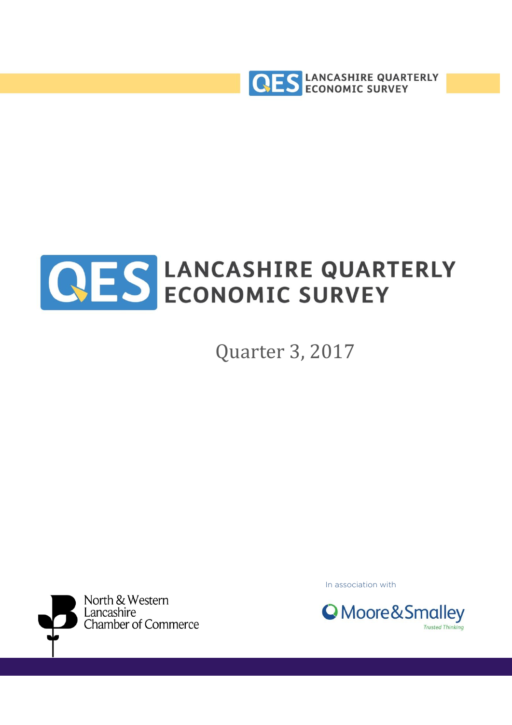



Quarter 3, 2017



In association with

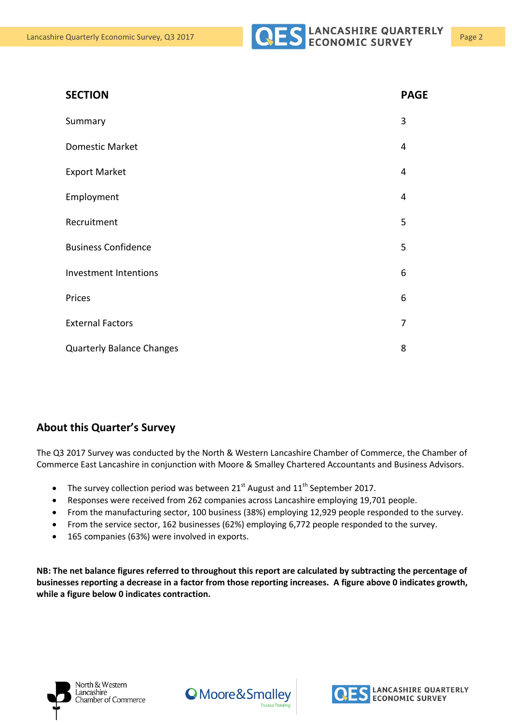**Export Market** 



| <b>SECTION</b>  | <b>PAGE</b> |
|-----------------|-------------|
| Summary         | 3           |
| Domestic Market | 4           |
| Evnort Morkot   | $\Lambda$   |

| Employment                       | 4 |
|----------------------------------|---|
| Recruitment                      | 5 |
| <b>Business Confidence</b>       | 5 |
| <b>Investment Intentions</b>     | 6 |
| Prices                           | 6 |
| <b>External Factors</b>          | 7 |
| <b>Quarterly Balance Changes</b> | 8 |

#### **About this Quarter's Survey**

The Q3 2017 Survey was conducted by the North & Western Lancashire Chamber of Commerce, the Chamber of Commerce East Lancashire in conjunction with Moore & Smalley Chartered Accountants and Business Advisors.

- The survey collection period was between  $21^{st}$  August and  $11^{th}$  September 2017.
- Responses were received from 262 companies across Lancashire employing 19,701 people.
- From the manufacturing sector, 100 business (38%) employing 12,929 people responded to the survey.
- From the service sector, 162 businesses (62%) employing 6,772 people responded to the survey.
- 165 companies (63%) were involved in exports.

**NB: The net balance figures referred to throughout this report are calculated by subtracting the percentage of businesses reporting a decrease in a factor from those reporting increases. A figure above 0 indicates growth, while a figure below 0 indicates contraction.**





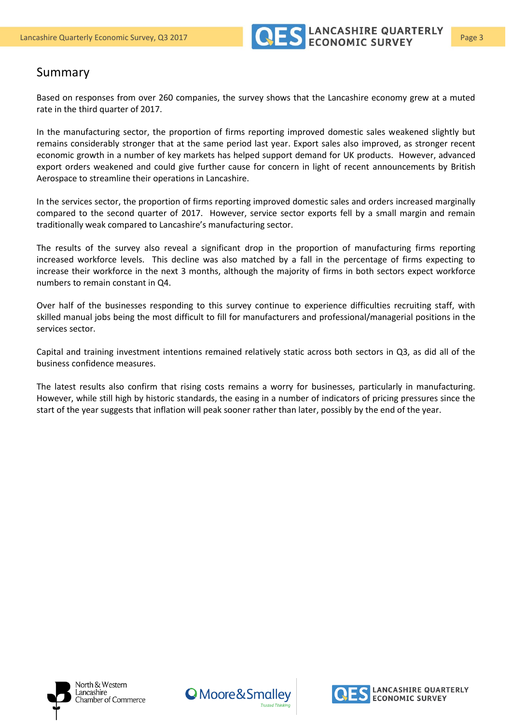

#### Summary

Based on responses from over 260 companies, the survey shows that the Lancashire economy grew at a muted rate in the third quarter of 2017.

In the manufacturing sector, the proportion of firms reporting improved domestic sales weakened slightly but remains considerably stronger that at the same period last year. Export sales also improved, as stronger recent economic growth in a number of key markets has helped support demand for UK products. However, advanced export orders weakened and could give further cause for concern in light of recent announcements by British Aerospace to streamline their operations in Lancashire.

In the services sector, the proportion of firms reporting improved domestic sales and orders increased marginally compared to the second quarter of 2017. However, service sector exports fell by a small margin and remain traditionally weak compared to Lancashire's manufacturing sector.

The results of the survey also reveal a significant drop in the proportion of manufacturing firms reporting increased workforce levels. This decline was also matched by a fall in the percentage of firms expecting to increase their workforce in the next 3 months, although the majority of firms in both sectors expect workforce numbers to remain constant in Q4.

Over half of the businesses responding to this survey continue to experience difficulties recruiting staff, with skilled manual jobs being the most difficult to fill for manufacturers and professional/managerial positions in the services sector.

Capital and training investment intentions remained relatively static across both sectors in Q3, as did all of the business confidence measures.

The latest results also confirm that rising costs remains a worry for businesses, particularly in manufacturing. However, while still high by historic standards, the easing in a number of indicators of pricing pressures since the start of the year suggests that inflation will peak sooner rather than later, possibly by the end of the year.





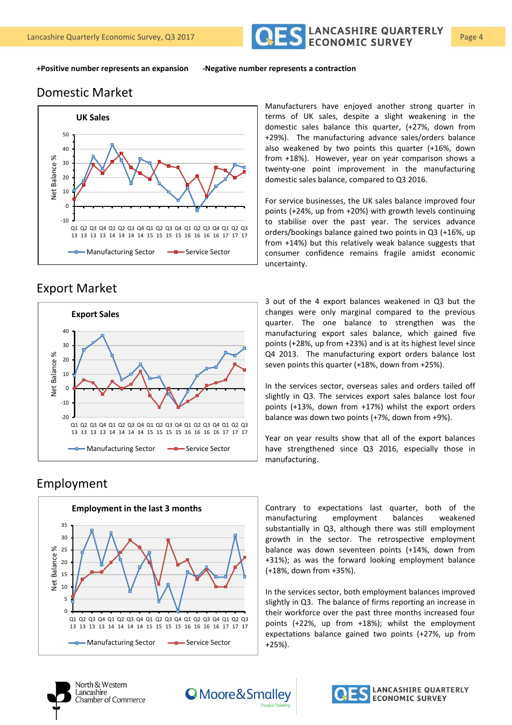

**+Positive number represents an expansion -Negative number represents a contraction**

#### Domestic Market



### Export Market



#### Employment



Manufacturers have enjoyed another strong quarter in terms of UK sales, despite a slight weakening in the domestic sales balance this quarter, (+27%, down from +29%). The manufacturing advance sales/orders balance also weakened by two points this quarter (+16%, down from +18%). However, year on year comparison shows a twenty-one point improvement in the manufacturing domestic sales balance, compared to Q3 2016.

For service businesses, the UK sales balance improved four points (+24%, up from +20%) with growth levels continuing to stabilise over the past year. The services advance orders/bookings balance gained two points in Q3 (+16%, up from +14%) but this relatively weak balance suggests that consumer confidence remains fragile amidst economic uncertainty.

3 out of the 4 export balances weakened in Q3 but the changes were only marginal compared to the previous quarter. The one balance to strengthen was the manufacturing export sales balance, which gained five points (+28%, up from +23%) and is at its highest level since Q4 2013. The manufacturing export orders balance lost seven points this quarter (+18%, down from +25%).

In the services sector, overseas sales and orders tailed off slightly in Q3. The services export sales balance lost four points (+13%, down from +17%) whilst the export orders balance was down two points (+7%, down from +9%).

Year on year results show that all of the export balances have strengthened since Q3 2016, especially those in manufacturing.

Contrary to expectations last quarter, both of the manufacturing employment balances weakened substantially in Q3, although there was still employment growth in the sector. The retrospective employment balance was down seventeen points (+14%, down from +31%); as was the forward looking employment balance (+18%, down from +35%).

In the services sector, both employment balances improved slightly in Q3. The balance of firms reporting an increase in their workforce over the past three months increased four points (+22%, up from +18%); whilst the employment expectations balance gained two points (+27%, up from +25%).



North & Western Lancashire Chamber of Commerce



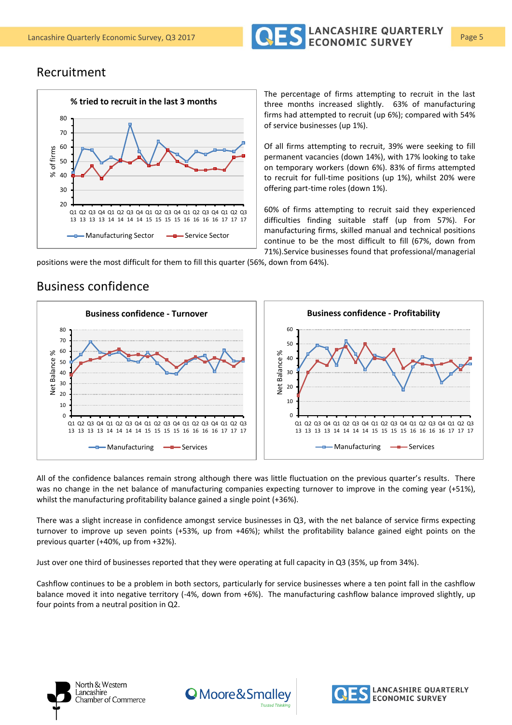

#### Recruitment

Business confidence



The percentage of firms attempting to recruit in the last three months increased slightly. 63% of manufacturing firms had attempted to recruit (up 6%); compared with 54% of service businesses (up 1%).

Of all firms attempting to recruit, 39% were seeking to fill permanent vacancies (down 14%), with 17% looking to take on temporary workers (down 6%). 83% of firms attempted to recruit for full-time positions (up 1%), whilst 20% were offering part-time roles (down 1%).

60% of firms attempting to recruit said they experienced difficulties finding suitable staff (up from 57%). For manufacturing firms, skilled manual and technical positions continue to be the most difficult to fill (67%, down from 71%).Service businesses found that professional/managerial

positions were the most difficult for them to fill this quarter (56%, down from 64%).

#### 0  $10$ 20 30 40 50 60 70  $80$ Q1 Q2 Q3 Q4 Q1 Q2 Q3 Q4 Q1 Q2 Q3 Q4 Q1 Q2 Q3 Q4 Q1 Q2 Q3 13 13 13 14 14 14 14 15 15 15 15 16 16 16 16 17 17 17 Net Balance % **Business confidence - Turnover**  $\leftarrow$ Manufacturing  $\leftarrow$ Services 0 10 20 30 40 50 60 Q1 Q2 Q3 Q4 Q1 Q2 Q3 Q4 Q1 Q2 Q3 Q4 Q1 Q2 Q3 Q4 Q1 Q2 Q3 13 13 13 14 14 14 15 15 15 15 16 16 16 16 17 17 17 Net Balance % **Business confidence - Profitability**  $\leftarrow$ Manufacturing  $\leftarrow$ Services

All of the confidence balances remain strong although there was little fluctuation on the previous quarter's results. There was no change in the net balance of manufacturing companies expecting turnover to improve in the coming year (+51%), whilst the manufacturing profitability balance gained a single point (+36%).

There was a slight increase in confidence amongst service businesses in Q3, with the net balance of service firms expecting turnover to improve up seven points (+53%, up from +46%); whilst the profitability balance gained eight points on the previous quarter (+40%, up from +32%).

Just over one third of businesses reported that they were operating at full capacity in Q3 (35%, up from 34%).

Cashflow continues to be a problem in both sectors, particularly for service businesses where a ten point fall in the cashflow balance moved it into negative territory (-4%, down from +6%). The manufacturing cashflow balance improved slightly, up four points from a neutral position in Q2.





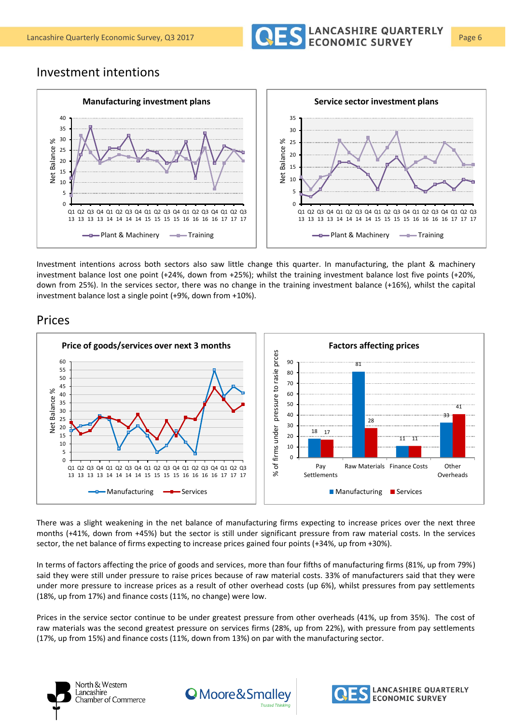

#### Investment intentions



Investment intentions across both sectors also saw little change this quarter. In manufacturing, the plant & machinery investment balance lost one point (+24%, down from +25%); whilst the training investment balance lost five points (+20%, down from 25%). In the services sector, there was no change in the training investment balance (+16%), whilst the capital investment balance lost a single point (+9%, down from +10%).

#### Prices



There was a slight weakening in the net balance of manufacturing firms expecting to increase prices over the next three months (+41%, down from +45%) but the sector is still under significant pressure from raw material costs. In the services sector, the net balance of firms expecting to increase prices gained four points (+34%, up from +30%).

In terms of factors affecting the price of goods and services, more than four fifths of manufacturing firms (81%, up from 79%) said they were still under pressure to raise prices because of raw material costs. 33% of manufacturers said that they were under more pressure to increase prices as a result of other overhead costs (up 6%), whilst pressures from pay settlements (18%, up from 17%) and finance costs (11%, no change) were low.

Prices in the service sector continue to be under greatest pressure from other overheads (41%, up from 35%). The cost of raw materials was the second greatest pressure on services firms (28%, up from 22%), with pressure from pay settlements (17%, up from 15%) and finance costs (11%, down from 13%) on par with the manufacturing sector.





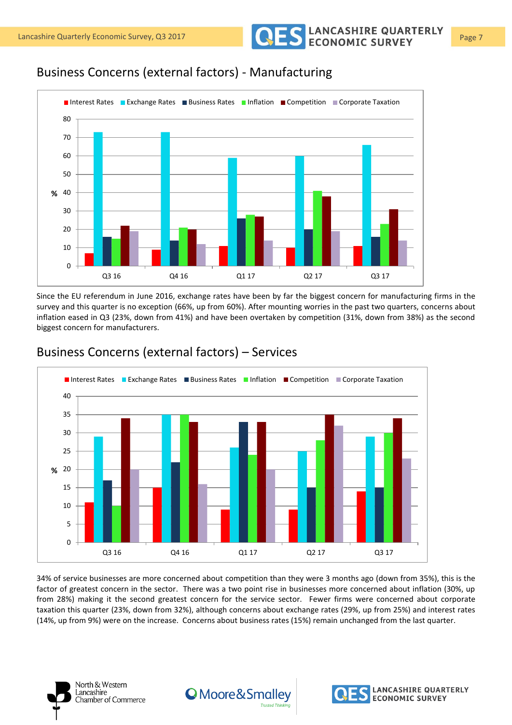Lancashire Quarterly Economic Survey, Q3 2017 **Page 7** COLON CONOMIC SURVEY

## Business Concerns (external factors) - Manufacturing



Since the EU referendum in June 2016, exchange rates have been by far the biggest concern for manufacturing firms in the survey and this quarter is no exception (66%, up from 60%). After mounting worries in the past two quarters, concerns about inflation eased in Q3 (23%, down from 41%) and have been overtaken by competition (31%, down from 38%) as the second biggest concern for manufacturers.



#### Business Concerns (external factors) – Services

34% of service businesses are more concerned about competition than they were 3 months ago (down from 35%), this is the factor of greatest concern in the sector. There was a two point rise in businesses more concerned about inflation (30%, up from 28%) making it the second greatest concern for the service sector. Fewer firms were concerned about corporate taxation this quarter (23%, down from 32%), although concerns about exchange rates (29%, up from 25%) and interest rates (14%, up from 9%) were on the increase. Concerns about business rates (15%) remain unchanged from the last quarter.





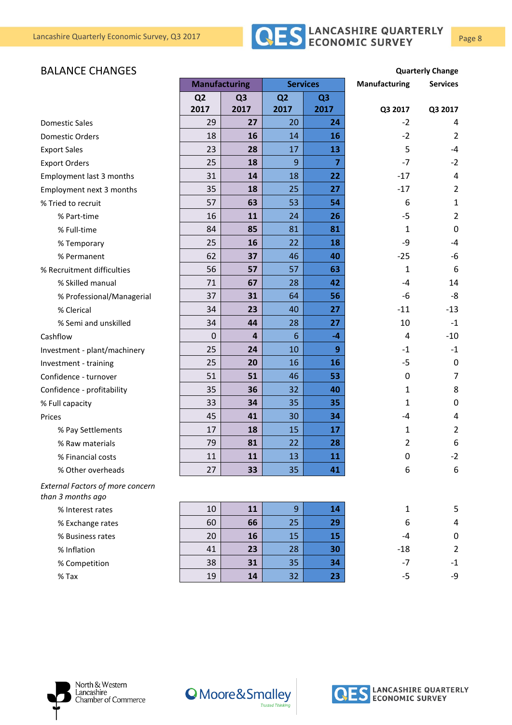

#### **BALANCE CHANGES Quarterly Change**

|                                                              | <b>Manufacturing</b> |                | <b>Services</b> |                | Manufacturing | <b>Services</b> |
|--------------------------------------------------------------|----------------------|----------------|-----------------|----------------|---------------|-----------------|
|                                                              | Q <sub>2</sub>       | Q <sub>3</sub> | Q <sub>2</sub>  | Q <sub>3</sub> |               |                 |
|                                                              | 2017                 | 2017           | 2017            | 2017           | Q3 2017       | Q3 2017         |
| <b>Domestic Sales</b>                                        | 29                   | 27             | 20              | 24             | $-2$          | 4               |
| <b>Domestic Orders</b>                                       | 18                   | 16             | 14              | 16             | $-2$          | 2               |
| <b>Export Sales</b>                                          | 23                   | 28             | 17              | 13             | 5             | $-4$            |
| <b>Export Orders</b>                                         | 25                   | 18             | 9               | 7              | $-7$          | $-2$            |
| Employment last 3 months                                     | 31                   | 14             | 18              | 22             | $-17$         | 4               |
| Employment next 3 months                                     | 35                   | 18             | 25              | 27             | $-17$         | $\overline{2}$  |
| % Tried to recruit                                           | 57                   | 63             | 53              | 54             | 6             | $\mathbf{1}$    |
| % Part-time                                                  | 16                   | 11             | 24              | 26             | $-5$          | $\overline{2}$  |
| % Full-time                                                  | 84                   | 85             | 81              | 81             | 1             | 0               |
| % Temporary                                                  | 25                   | 16             | 22              | 18             | -9            | $-4$            |
| % Permanent                                                  | 62                   | 37             | 46              | 40             | $-25$         | -6              |
| % Recruitment difficulties                                   | 56                   | 57             | 57              | 63             | 1             | 6               |
| % Skilled manual                                             | 71                   | 67             | 28              | 42             | -4            | 14              |
| % Professional/Managerial                                    | 37                   | 31             | 64              | 56             | -6            | -8              |
| % Clerical                                                   | 34                   | 23             | 40              | 27             | $-11$         | $-13$           |
| % Semi and unskilled                                         | 34                   | 44             | 28              | 27             | 10            | $-1$            |
| Cashflow                                                     | $\mathbf 0$          | 4              | $6\phantom{1}$  | $-4$           | 4             | $-10$           |
| Investment - plant/machinery                                 | 25                   | 24             | 10              | 9              | $-1$          | $-1$            |
| Investment - training                                        | 25                   | 20             | 16              | 16             | $-5$          | 0               |
| Confidence - turnover                                        | 51                   | 51             | 46              | 53             | 0             | $\overline{7}$  |
| Confidence - profitability                                   | 35                   | 36             | 32              | 40             | 1             | 8               |
| % Full capacity                                              | 33                   | 34             | 35              | 35             | 1             | 0               |
| Prices                                                       | 45                   | 41             | 30              | 34             | $-4$          | 4               |
| % Pay Settlements                                            | 17                   | 18             | 15              | 17             | 1             | $\overline{2}$  |
| % Raw materials                                              | 79                   | 81             | 22              | 28             | 2             | 6               |
| % Financial costs                                            | 11                   | 11             | 13              | 11             | 0             | $-2$            |
| % Other overheads                                            | 27                   | 33             | 35              | 41             | 6             | 6               |
| <b>External Factors of more concern</b><br>than 3 months ago |                      |                |                 |                |               |                 |
| % Interest rates                                             | 10                   | 11             | 9               | 14             | $\mathbf{1}$  | 5               |
| % Exchange rates                                             | 60                   | 66             | 25              | 29             | 6             | $\overline{4}$  |
| % Business rates                                             | 20                   | 16             | 15              | 15             | -4            | $\mathbf 0$     |
| % Inflation                                                  | 41                   | 23             | 28              | 30             | $-18$         | $\overline{2}$  |
| % Competition                                                | 38                   | 31             | 35              | 34             | $-7$          | $-1$            |
| $%$ Tax                                                      | 19                   | 14             | 32              | 23             | $-5$          | -9              |
|                                                              |                      |                |                 |                |               |                 |